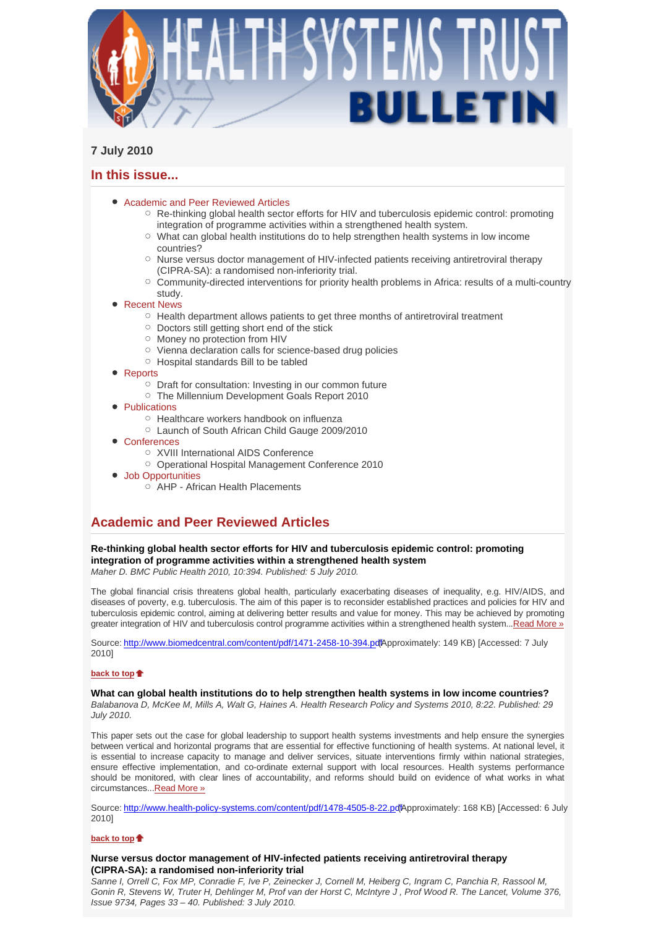

# **7 July 2010**

## **In this issue...**

- Academic and Peer Reviewed Articles
	- $\circ$  Re-thinking global health sector efforts for HIV and tuberculosis epidemic control: promoting integration of programme activities within a strengthened health system.
	- What can global health institutions do to help strengthen health systems in low income countries?
	- $\circ$  Nurse versus doctor management of HIV-infected patients receiving antiretroviral therapy (CIPRA-SA): a randomised non-inferiority trial.
	- Community-directed interventions for priority health problems in Africa: results of a multi-country study.
- Recent News
	- $\circ$  Health department allows patients to get three months of antiretroviral treatment
	- $\circ$  Doctors still getting short end of the stick
	- Money no protection from HIV
	- Vienna declaration calls for science-based drug policies
	- Hospital standards Bill to be tabled
- Reports
	- Draft for consultation: Investing in our common future
	- The Millennium Development Goals Report 2010
- Publications
	- Healthcare workers handbook on influenza
	- Launch of South African Child Gauge 2009/2010
- Conferences
	- XVIII International AIDS Conference
	- Operational Hospital Management Conference 2010
- Job Opportunities
	- $\overline{O}$  AHP African Health Placements

# **Academic and Peer Reviewed Articles**

## **Re-thinking global health sector efforts for HIV and tuberculosis epidemic control: promoting integration of programme activities within a strengthened health system**

*Maher D. BMC Public Health 2010, 10:394. Published: 5 July 2010.* 

The global financial crisis threatens global health, particularly exacerbating diseases of inequality, e.g. HIV/AIDS, and diseases of poverty, e.g. tuberculosis. The aim of this paper is to reconsider established practices and policies for HIV and tuberculosis epidemic control, aiming at delivering better results and value for money. This may be achieved by promoting greater integration of HIV and tuberculosis control programme activities within a strengthened health system...Read More »

Source: http://www.biomedcentral.com/content/pdf/1471-2458-10-394.pdfApproximately: 149 KB) [Accessed: 7 July 2010]

## **back to top**

### **What can global health institutions do to help strengthen health systems in low income countries?**

*Balabanova D, McKee M, Mills A, Walt G, Haines A. Health Research Policy and Systems 2010, 8:22. Published: 29 July 2010.* 

This paper sets out the case for global leadership to support health systems investments and help ensure the synergies between vertical and horizontal programs that are essential for effective functioning of health systems. At national level, it is essential to increase capacity to manage and deliver services, situate interventions firmly within national strategies, ensure effective implementation, and co-ordinate external support with local resources. Health systems performance should be monitored, with clear lines of accountability, and reforms should build on evidence of what works in what circumstances...Read More »

Source: http://www.health-policy-systems.com/content/pdf/1478-4505-8-22.pdfApproximately: 168 KB) [Accessed: 6 July 2010]

### **back to top**

## **Nurse versus doctor management of HIV-infected patients receiving antiretroviral therapy (CIPRA-SA): a randomised non-inferiority trial**

*Sanne I, Orrell C, Fox MP, Conradie F, Ive P, Zeinecker J, Cornell M, Heiberg C, Ingram C, Panchia R, Rassool M, Gonin R, Stevens W, Truter H, Dehlinger M, Prof van der Horst C, McIntyre J , Prof Wood R. The Lancet, Volume 376, Issue 9734, Pages 33 – 40. Published: 3 July 2010.*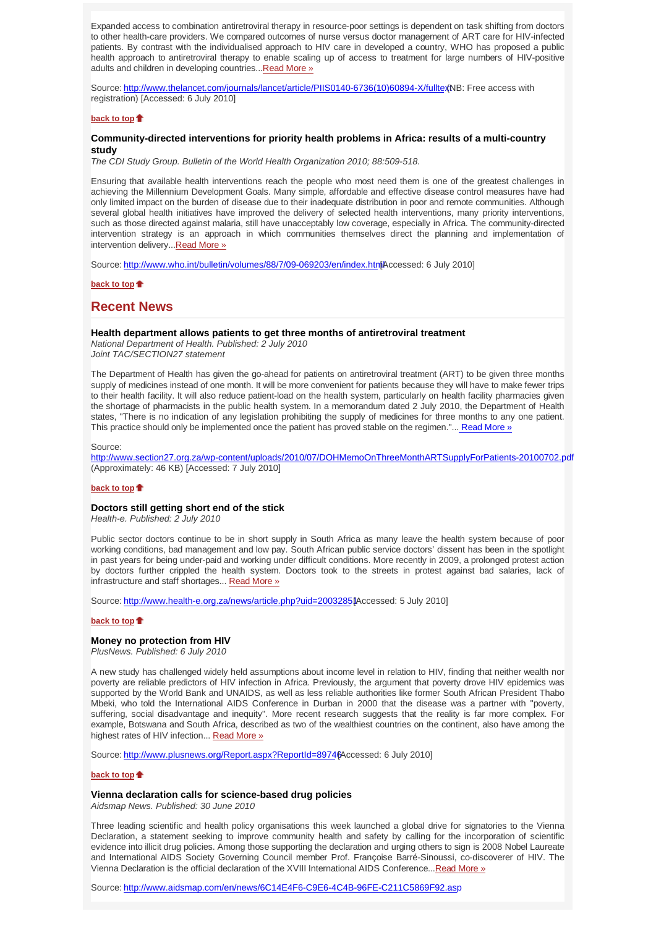Expanded access to combination antiretroviral therapy in resource-poor settings is dependent on task shifting from doctors to other health-care providers. We compared outcomes of nurse versus doctor management of ART care for HIV-infected patients. By contrast with the individualised approach to HIV care in developed a country, WHO has proposed a public health approach to antiretroviral therapy to enable scaling up of access to treatment for large numbers of HIV-positive adults and children in developing countries...Read More »

Source: http://www.thelancet.com/journals/lancet/article/PIIS0140-6736(10)60894-X/fulltextNB: Free access with registration) [Accessed: 6 July 2010]

### **back to top**

## **Community-directed interventions for priority health problems in Africa: results of a multi-country study**

*The CDI Study Group. Bulletin of the World Health Organization 2010; 88:509-518.* 

Ensuring that available health interventions reach the people who most need them is one of the greatest challenges in achieving the Millennium Development Goals. Many simple, affordable and effective disease control measures have had only limited impact on the burden of disease due to their inadequate distribution in poor and remote communities. Although several global health initiatives have improved the delivery of selected health interventions, many priority interventions, such as those directed against malaria, still have unacceptably low coverage, especially in Africa. The community-directed intervention strategy is an approach in which communities themselves direct the planning and implementation of intervention delivery...Read More »

Source: http://www.who.int/bulletin/volumes/88/7/09-069203/en/index.html Accessed: 6 July 2010]

**back to top**

## **Recent News**

#### **Health department allows patients to get three months of antiretroviral treatment**

*National Department of Health. Published: 2 July 2010 Joint TAC/SECTION27 statement*

The Department of Health has given the go-ahead for patients on antiretroviral treatment (ART) to be given three months supply of medicines instead of one month. It will be more convenient for patients because they will have to make fewer trips to their health facility. It will also reduce patient-load on the health system, particularly on health facility pharmacies given the shortage of pharmacists in the public health system. In a memorandum dated 2 July 2010, the Department of Health states, "There is no indication of any legislation prohibiting the supply of medicines for three months to any one patient. This practice should only be implemented once the patient has proved stable on the regimen."... Read More »

#### Source:

http://www.section27.org.za/wp-content/uploads/2010/07/DOHMemoOnThreeMonthARTSupplyForPatients-20100702.pdf (Approximately: 46 KB) [Accessed: 7 July 2010]

#### **back to top**

### **Doctors still getting short end of the stick**

*Health-e. Published: 2 July 2010*

Public sector doctors continue to be in short supply in South Africa as many leave the health system because of poor working conditions, bad management and low pay. South African public service doctors' dissent has been in the spotlight in past years for being under-paid and working under difficult conditions. More recently in 2009, a prolonged protest action by doctors further crippled the health system. Doctors took to the streets in protest against bad salaries, lack of infrastructure and staff shortages... Read More »

Source: http://www.health-e.org.za/news/article.php?uid=2003285[Accessed: 5 July 2010]

## **back to top**

#### **Money no protection from HIV**

*PlusNews. Published: 6 July 2010*

A new study has challenged widely held assumptions about income level in relation to HIV, finding that neither wealth nor poverty are reliable predictors of HIV infection in Africa. Previously, the argument that poverty drove HIV epidemics was supported by the World Bank and UNAIDS, as well as less reliable authorities like former South African President Thabo Mbeki, who told the International AIDS Conference in Durban in 2000 that the disease was a partner with "poverty, suffering, social disadvantage and inequity". More recent research suggests that the reality is far more complex. For example, Botswana and South Africa, described as two of the wealthiest countries on the continent, also have among the highest rates of HIV infection... Read More »

Source: http://www.plusnews.org/Report.aspx?ReportId=89746 Accessed: 6 July 2010]

### **back to top**

#### **Vienna declaration calls for science-based drug policies**

*Aidsmap News. Published: 30 June 2010*

Three leading scientific and health policy organisations this week launched a global drive for signatories to the Vienna Declaration, a statement seeking to improve community health and safety by calling for the incorporation of scientific evidence into illicit drug policies. Among those supporting the declaration and urging others to sign is 2008 Nobel Laureate and International AIDS Society Governing Council member Prof. Françoise Barré-Sinoussi, co-discoverer of HIV. The Vienna Declaration is the official declaration of the XVIII International AIDS Conference...Read More »

Source: http://www.aidsmap.com/en/news/6C14E4F6-C9E6-4C4B-96FE-C211C5869F92.asp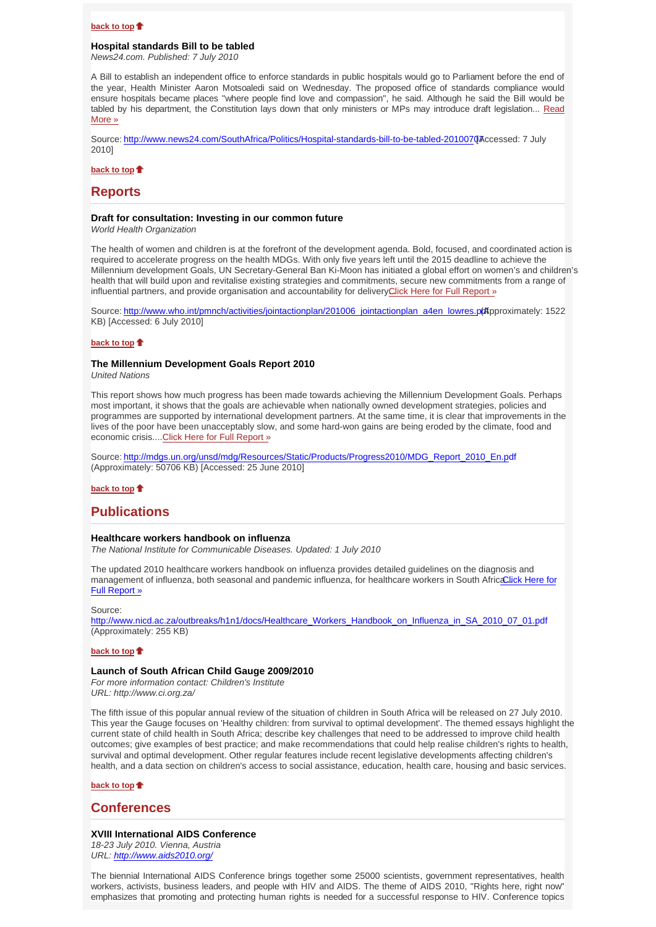#### **back to top**

### **Hospital standards Bill to be tabled**

*News24.com. Published: 7 July 2010*

A Bill to establish an independent office to enforce standards in public hospitals would go to Parliament before the end of the year, Health Minister Aaron Motsoaledi said on Wednesday. The proposed office of standards compliance would ensure hospitals became places "where people find love and compassion", he said. Although he said the Bill would be tabled by his department, the Constitution lays down that only ministers or MPs may introduce draft legislation... Read More »

Source: http://www.news24.com/SouthAfrica/Politics/Hospital-standards-bill-to-be-tabled-2010070Accessed: 7 July 2010]

**back to top**

## **Reports**

#### **Draft for consultation: Investing in our common future**

*World Health Organization* 

The health of women and children is at the forefront of the development agenda. Bold, focused, and coordinated action is required to accelerate progress on the health MDGs. With only five years left until the 2015 deadline to achieve the Millennium development Goals, UN Secretary-General Ban Ki-Moon has initiated a global effort on women's and children's health that will build upon and revitalise existing strategies and commitments, secure new commitments from a range of influential partners, and provide organisation and accountability for deliveryClick Here for Full Report »

Source: http://www.who.int/pmnch/activities/jointactionplan/201006\_jointactionplan\_a4en\_lowres.pdf (pproximately: 1522 KB) [Accessed: 6 July 2010]

#### **back to top**

### **The Millennium Development Goals Report 2010**

*United Nations* 

This report shows how much progress has been made towards achieving the Millennium Development Goals. Perhaps most important, it shows that the goals are achievable when nationally owned development strategies, policies and programmes are supported by international development partners. At the same time, it is clear that improvements in the lives of the poor have been unacceptably slow, and some hard-won gains are being eroded by the climate, food and economic crisis.... Click Here for Full Report »

Source: http://mdgs.un.org/unsd/mdg/Resources/Static/Products/Progress2010/MDG\_Report\_2010\_En.pdf (Approximately: 50706 KB) [Accessed: 25 June 2010]

**back to top**

## **Publications**

#### **Healthcare workers handbook on influenza**

*The National Institute for Communicable Diseases. Updated: 1 July 2010*

The updated 2010 healthcare workers handbook on influenza provides detailed guidelines on the diagnosis and management of influenza, both seasonal and pandemic influenza, for healthcare workers in South Africa Click Here for Full Report »

#### Source:

http://www.nicd.ac.za/outbreaks/h1n1/docs/Healthcare\_Workers\_Handbook\_on\_Influenza\_in\_SA\_2010\_07\_01.pdf (Approximately: 255 KB)

#### **back to top**

### **Launch of South African Child Gauge 2009/2010**

*For more information contact: Children's Institute URL: http://www.ci.org.za/*

The fifth issue of this popular annual review of the situation of children in South Africa will be released on 27 July 2010. This year the Gauge focuses on 'Healthy children: from survival to optimal development'. The themed essays highlight the current state of child health in South Africa; describe key challenges that need to be addressed to improve child health outcomes; give examples of best practice; and make recommendations that could help realise children's rights to health, survival and optimal development. Other regular features include recent legislative developments affecting children's health, and a data section on children's access to social assistance, education, health care, housing and basic services.

### **back to top**

## **Conferences**

#### **XVIII International AIDS Conference**

*18-23 July 2010. Vienna, Austria URL: http://www.aids2010.org/* 

The biennial International AIDS Conference brings together some 25000 scientists, government representatives, health workers, activists, business leaders, and people with HIV and AIDS. The theme of AIDS 2010, "Rights here, right now" emphasizes that promoting and protecting human rights is needed for a successful response to HIV. Conference topics